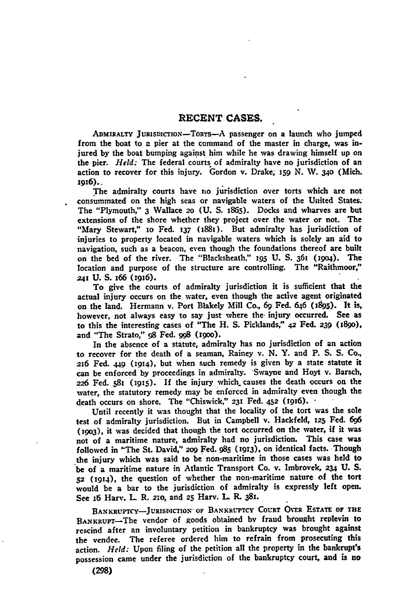**ADMIRALTY JURISDICTION-TORTs-A** passenger on a launch who jumped from the boat to a pier at the command of the master in charge, was injured **by** the boat bumping against him while he was drawing himself up on the pier. *Held:* The federal courts of admiralty have no jurisdiction of an action to recover for this injury. Gordon v. Drake; **159 N. W. 34o** (Mich. i916)..

The admiralty courts have no jurisdiction over torts which are not consummated on the high seas or navigable waters of the United States. The "Plymouth," 3 Wallace **20 (U. S.** 1865). Docks and wharves are but extensions of **the** shore whether they project over the water or not. The "Mary Stewart," io Fed. *i37* (1881). But admiralty has jurisdiction of injuries to property located in navigable waters which is solely an aid to navigation, such as a beacon, even though the foundations thereof are built on the bed of the river. The "Blacksheath," **195 U. S.** 361 **(i9o4).** The location and purpose of the structure are controlling. The "Raithmoor," *241* **U. S.** 166 (916).

To give the courts of admiralty jurisdiction it is sufficient that the actual injury occurs on the water, even though the active agent originated on the land. Hermann v. Port Blakely Mill Co., 69 Fed. 646 (1995). It is, however, not always easy to say just where the injury occurred. See as to this the interesting cases of "The **H. S.** Picklands," *42* **Fed.** *239* **(189o),** and "The Strato," **98** Fed. **998** (igoo).

In the absence of a statute, admiralty has no jurisdiction of an action to recover for the death of a seaman, Rainey v. **N.** Y. and P. **S. S. Co.,** *216* Fed. 449 (1914), but when such remedy is given **by** a state statute it can be enforced **by** proceedings in admiralty. "Swayne and Hoyt v. Barsch, *<sup>226</sup>*Fed. **581** (igs). **If** the injury which causes the death occurs on the water, the statutory remedy may be enforced in admiralty even though the death occurs on shore. The "Chiswick," **231** Fed. *452* (t916).

Until recently it was thought that the locality of the tort was the sole test of admiralty jurisdiction. But in Campbell v. Hackfeld, *z25* Fed. *696* **(i9o3),** it was decided that though the tort occurred on the water, if it was not of a maritime nature, admiralty had no jurisdiction. This case was followed in "The St. David," **2o9 Fed. 985 (1913),** on identical facts. Though the injury which was said to be non-maritime in those cases was held to be of a maritime nature in Atlantic Transport Co. v. Imbrovek, *234* **U. S.** <sup>52</sup>**(1914),** the question of whether the non-maritime nature of the tort would be a bar to the jurisdiction of admiralty is expressly left open. See 16 Harv. L R. **210,** and **25** Harv. **L.** R. 381.

BANKRUPTCY-JURISDICTION OF BANKRUPTCY COURT OVER ESTATE OF THE BANKRUPT-The vendor of goods obtained by fraud brought replevin to rescind after an involuntary petition in bankruptcy was brought against the vendee. The referee ordered him to refrain from prosecuting this action. *Hcld:* Upon filing of the petition all the property in the bankrupt's possession came under the jurisdiction of the bankruptcy court, and is no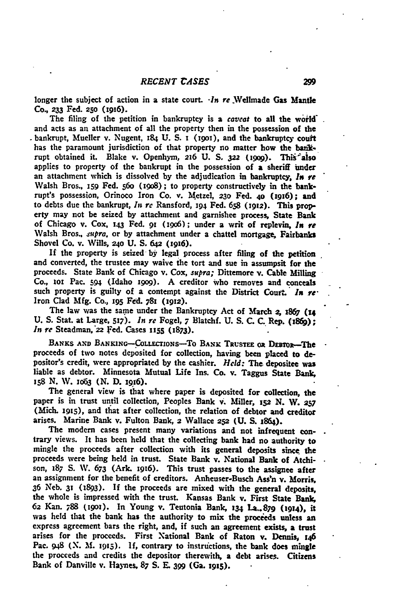longer the subject of action in a state court. *-In re* .Wellmade **Gas Mantle** Co. *233* Fed. **25o** (1916).

The filing of the petition in bankruptcy is a caveat to all the world. and acts as an attachment of all the property then in the possession of the bankrupt, Mueller v. Nugent, 184 **U. S.** i (i9ox), and the bankruptcy couft has the paramount jurisdiction of that property no matter how the bankrupt obtained it. Blake v. Openhym, 216 U. S. 322 (1909). This also applies to property of the bankrupt in the possession of a sheriff under an attachment which is dissolved **by** the adjudication in bankruptcy, *In* re Walsh Bros., **159** Fed. **56o** (igo8) **;** to property constructively in the bankrupt's possession, Orinoco Iron Co. v. Metzel, 230 Fed. 40 (1916); and to debts due the bankrupt, *In re* Ransford, **194** Fed. **658** *(1912).* This property may not be seized **by** attachment and garnishee process, State Bank of Chicago v. Cox, **143** Fed. 91 **(006);** under a writ of replevin, *In* **re** Walsh Bros., supra, or by attachment under a chattel mortgage, Fairbanks Shovel Co. v. Wills, **24o U. S. 642 (19,6).**

If the property is seized **by** legal process after filing of the petition and converted, the trustee may waive the tort and sue in assumpsit for the proceeds. State Bank of Chicago v. Cox, *supra;* Dittemore v. Cable Milling **Co., 101** Pac. **594** (Idaho x9og). **A** creditor who removes and conceals such property is guilty of a contempt against the District Court. *In* **re-**Iron Clad **Mfg.** Co., **195 Fed.** 781 **(1912).**

The law was the same under the Bankruptcy Act of March *2,* **1867 (14 U. S.** Stat. at Large, **517).** *In re* Fogel, **7** Blatchf. **U. S. C. C.** Rep. (i8f); In **re** Steadman,'22 Fed. Cases **1155** (1873).

BANKS AND BANKING-COLLECTIONS-TO BANK TRUSTEE OR DEBTOR-The proceeds of two notes deposited for collection, having been placed to **de**positor's credit, were appropriated **by** the cashier. *Held:* The, depositee was liable as debtor. Minnesota Mutual Life Ins. Co. v. Taggus State Bank, <sup>158</sup>**N.** W. **1063 (N. D.** 1916).

The general view is that where paper is deposited for collection, the paper is in trust until collection, Peoples Bank v. Miller, 152 **N.** W. **<sup>257</sup>** (Mich. 1915), and that after collection, the relation of debtor and creditor arises. Marine Bank v. Fulton Bank, *2* Wallace **252 (U. S.** 1864).

The modern cases present many variations and not infrequent contrary views. It has been held that the collecting bank had no authority to mingle the proceeds after collection with its general deposits since the proceeds were being held in trust. State Bank v. National **Bank** of Atchison, **187 S.** W. **673** (Ark. x916). This trust passes to the assignee after an assignment for the benefit of creditors. Anheuser-Busch **Ass'n** v. Morris, **36** Neb. **31** (1893). **If** the proceeds are mixed with the general deposits, the whole is impressed with the trust. Kansas Bank v. First State Bank, **62** Kan. **788 (19oi).** In Young v. Teutonia **Bank, 134 La..879 (1914), it** was held that the bank has the authority to mix the proceeds unless an express agreement bars the right, and, if such an agreement exists, a trust arises for the proceeds. First National Bank of Raton v. Dennis, **<sup>146</sup>** Pac. 948 **(N. M. 1915). if,** contrary to instructions, the bank does mingle the proceeds and credits the depositor therewith, a debt arises. Citizens Bank of Danville v. Haymes, **87 S. E. 399** (Ga. t915).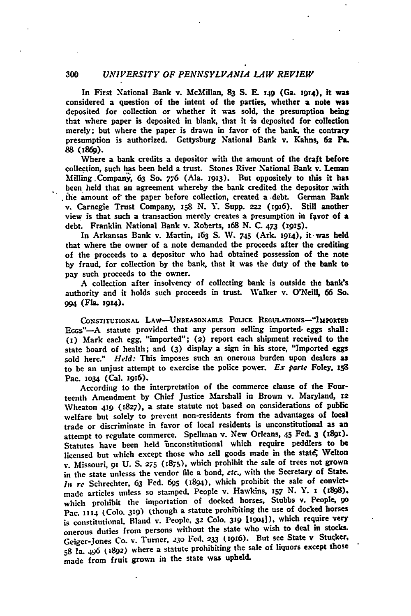#### **300** *UNIVERSITY OF PENNSYLVANIA LAW REVIEW*

In First National Bank v. McMillan, **83 S. E.** 149 (Ga. **19T4), it was** considered a question of the intent of the parties, whether a note was deposited for collection or whether it was sold, the presumption being that where paper is deposited in blank, that it is deposited for collection merely; but where the paper is drawn in favor of the bank, the contrary presumption is authorized. Gettysburg National Bank v. Kahns, **62 Pa. 88** (1869).

Where a bank credits a depositor with the amount of the draft before collection, such has been held a trust. Stones River National Bank v. Leman Milling -Company, **63 So. 776** (Ala. **1913).** But oppositely to this it has been held that an agreement whereby the bank credited the depositor **.with** the amount of the paper before collection, created a debt. German Bank v. Carnegie Trust Company, **i58 N.** Y. Supp. **222** (i9i6). Still another view is that such a transaction merely creates a presumption in favor of a debt. Franklin National Bank v. Roberts, 168 **N. C.** 473 **(1915).**

In Arkansas Bank v. Martin, **v63 S. W. 745** (Ark. **1914),** it-was held that where the owner of a note demanded the proceeds after the crediting of the proceeds to a depositor who had obtained possession of the note **by** fraud, for collection **by** the bank, that it was the duty of the bank to pay such proceeds to the owner.

**A** collection after insolvency of collecting bank is outside the **bank's** authority and it holds such proceeds in trust. Walker v. O'Neill, 66 **So. 994 (Fla. 1914).**

**CONSTITUTIONAL LAW-UNREASONABLE** POLicE REGULATIONS-"IMPORTED EGGS" $-A$  statute provided that any person selling imported eggs shall: **(I)** Mark each egg, "imported"; **(2)** report each shipment received to the state board of health; and **(3)** display a sign in his store, "Imported eggs sold here." *Held:* This imposes such an onerous burden upon dealers **as** to be an unjust attempt to exercise the police power. *Ex parte* Foley, **<sup>158</sup>** Pac. **iO34** (Cal. 1916).

According to the interpretation of the commerce clause of the Fourteenth Amendment **by** Chief Justice Marshall in Brown v. Maryland, **<sup>12</sup>** Wheaton **419 (1827).** a state statute not based on considerations of public welfare but solely to prevent non-residents from the advantages of local trade or discriminate in favor of local residents is unconstitutional as an attempt to regulate commerce. Spellman v. New Orleans, 45 Fed. 3 (1891). Statutes have been held inconstitutional which require peddlers to **be** licensed but which except those who sell goods made in the state, Welton **v.** Missouri, **91 U. S. 275** (1875), which prohibit the sale of trees not grown in the state unlesss the vendor file a bond, *etc.,* with the Secretary of State. *In re* Schrechter, 63 Fed. **695** (1894), which prohibit the sale of convictmade articles unless so stamped, People v. Hawkins, 157 N. Y. 1 (1898). which prohibit the importation of docked horses, Stubbs **v.** People, **go** Pac. **1114** (Colo. **319)** (though a statute prohibiting the use of docked horses is constitutional, Bland **v.** People. **32 Colo. 319 [1904]),** which require very onerous duties from persons without the state who wish to deal in stocks. Geiger-Jones Co. v. Turner, 230 Fed. 233 (1916). But see State v Stucker, **58 la.** 496 **(1892) where** a statute prohibiting the sale of liquors except those made from fruit grown in the state **was** upheld.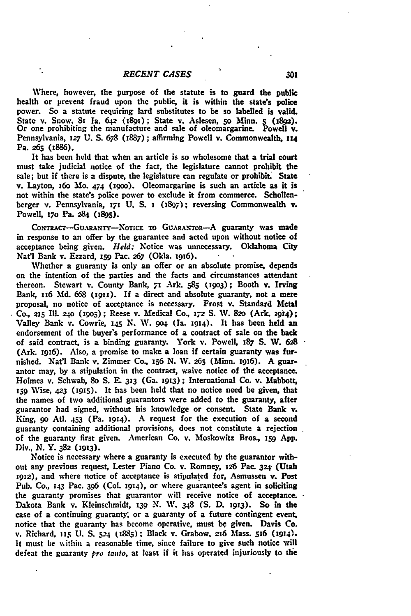۰.

Where, however, the purpose **of** the statute is to guard the public health or prevent fraud upon **thc** public, it is within the state's police power. So a statute requiring lard substitutes to be so labelled is valid. State v. Snow, **8r** Ia. 642 (i89i); State v. Aslesen, So **Minn.** *5* **(189a).** Or one prohibiting the manufacture and sale of oleomargarine. Powell v. Pennsylvania, **127 U. S. 678 (1887);** affirming Powell v. Commonwealth, **114** Pa. **265** (886).

It has been held that when an article is so wholesome that a trial court must take judicial notice of the fact, the legislature cannot prohibit the sale; but if there is a dispute, the legislature can regulate or prohibit. State v. Layton, **16o Mo. 474 (19oo).** Oleomargarine is such an article as it is not within the state's police power to exclude it from commerce. Schollenberger v. Pennsylvania, **171 U. S. 1** (1897); reversing Commonwealth v. Powell, **i7o** Pa. **284** (895).

CONTRACT-GUARANTY-NOTICE TO GUARANTOR--A guaranty was made in response to an offer **by** the guarantee and acted upon without notice of acceptance being given. *Held:* Notice was unnecessary. Oklahoma City Nat'l Bank v. Ezzard, **i59** Pac. **267** (Okla. **1916).**

Whether a guaranty is only an offer or an absolute promise, depends on the intention of the parties and the facts and circumstances attendant thereon. Stewart v. County Bank, **71** Ark. **585 (19o3);** Booth v. Irving Bank, 116 **Md. 668 (19i1).** If a direct and absolute guaranty, not a mere proposal, no notice of acceptance is necessary. Frost v. Standard Metal **Co., 215 11. 240 (i9o5) ;** Reese v. Medical Co, *172* **S. W. 82o** (Ark. **194);** Valley Bank v. Cowrie, **145 N. W. 9o4** (Ia. **1914).** It has been held an endorsement of the buyer's performance of a contract of sale on the back of said contract, is a binding guaranty. York v. Powell, 187 **S.** W. *628* (Ark. 1916). Also, a promise to make a **loan** if certain guaranty was furnished. **Nat'l** Bank v. Zimmer Co., **156 N.** IV. **265** (Minn. I916). **A** guarantor may, **by** a stipulation in the contract, waive notice of the acceptance. Holmes v. Schwab, **go S. E. 313** (Ga. **1913);** International Co. v. Mabbott, **159** Wise, **423 (1915).** It has been held that no notice need be given, that the names of two additional guarantors were added to the guaranty, after guarantor had signed, without his knowledge or consent. State **Bank** v. King, **9o Atl.** 453 (Pa. **1914). A** request for the execution of a second guaranty containing additional provisions, does not constitute a rejection of the guaranty first given. American Co. v. Moskowitz Bros., **159 App.** Div., **N.** Y. **382 (1913).**

Notice is necessary where a guaranty is executed **by** the guarantor without any previous request, Lester Piano Co. v. Romney, *126* Pac. 324 (Utah **1912),** and where notice of acceptance is stipulated for, Asmussen v. Post Pub. Co., **143** Pac. **396 (Col. 1914),** or where guarantee's agent in soliciting the guaranty promises that guarantor will receive notice of acceptance. Dakota Bank v. Kleinschmidt, *139* **N. W.** 348 **(S. D. 1913).** So in the case of a continuing guaranty; or a guaranty of a future contingent event, notice that the guaranty has become operative, must **be** given. Davis Co. v. Richard, **15 U. S. ;24 (1885) ;** Black v. Grabow. **216** Mass. **5j6 (1914).** It must be uithin a reasonable time, since failure to give such notice will defeat the guaranty *pro tanto,* at least if it has operated injuriously to the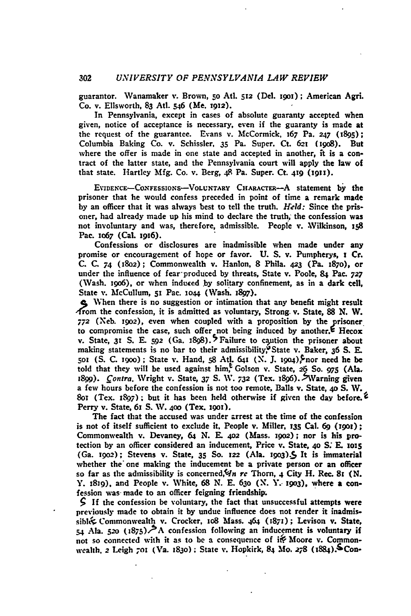guarantor. Wanamaker v. Brown, *5o* Atl. **512** (Del. igo); American AgrL Co. v. Ellsworth, **83** At. 546 (Me. **1912).**

In Pennsylvania, except in cases of absolute guaranty accepted when given, notice of acceptance is necessary, even if the guaranty is made at the request of the guarantee. Evans v. McCormick, 167 Pa. **247** (1895); Columbia Baking Co. v. Schissler, **35** Pa. Super. Ct. **62t** (i9o8). But where the offer is made in one state and accepted in another, it is a contract of the latter state, and the Pennsylvania court will apply the law of that state. Hartley **Mfg.** Co. v. Berg, 48 Pa. Super. Ct. 419 **(191).**

**EVIDENCE-CONFESSIONS-VOLUNTARY CHARACTER-A** statement by the prisoner that he would confess preceded in point of time a remark made **by** an officer that it was always best to tell the truth. *Held:* Since the prisoner, had already made up his mind to declare the truth, the confession was not involuntary and was, therefore, admissible. People v. Wilkinson, 158 Pac. io67 (Cal. **i916).**

Confessions or disclosures are inadmissible when made under any promise or encouragement of hope or favor. **U. S.** v. Pumpherys, **I** Cr. **C. C. 74 (8o2);** Commonwealth v. Hanlon, **8** Phila. **423** (Pa. 187o), or under the influence of fear-produced by threats, State v. Poole, **84** Pac. *727* (Wash. i9o6), or when induced **by** solitary confinement, as in a dark cell, State **v.** McCullum, **Si** Pac. **io4** (Wash. **j897).**

**c** When there is no suggestion or intimation that any benefit might result  $A$  rom the confession, it is admitted as voluntary, Strong. v. State, 88 N. W. *772* (Xeb. **19o2),** even when coupled with a proposition **by** the prisoner to compromise the case, such offer not being induced by another.<sup>E</sup> Hecox v. State, 31 S. E. 592 (Ga. 1898).<sup>5</sup> Failure to caution the prisoner about making statements is no bar to their admissibility,<sup>9</sup> State v. Baker, 36 S. E. Soz **(S. C.** igoo) **;** State **v.** Hand, **58** Ati. 64t **(X. J.** 19o4),Snor need he **be** told that they will be used against him, Golson v. State, 26 So. *97s* **(Ala.** 1899). *Contra*. Wright v. State, 37 S. W. 732 (Tex. 1896). >Warning given a few hours before the confession is not too remote, Balls v. State, 40 **S.** W. **8o1** (Tex. **1897);** but it has been held otherwise if given the day before. 2 Perry v. State, 6i **S.** W. **4o0** (Tex. **i9o1).**

The fact that the accused was under arrest at the time of the confession is not of itself sufficient to exclude it. People v. Miller, **135 Cal. 69 (1901)**; Commonwealth v. Devaney, 64 **N.** E. **402** (Mass. i9o2); nor is his protection **by** an officer considered an inducement, Price v. State, **40 S; E. 1ois** (Ga. *i902);* Stevens v. State, **35 So. 122** (Ala. **I9o3).5** It is immaterial whether the one making the inducement be a private person or an officer so far as the admissibility is concerned, In rc Thorn, 4 City H. Rec. 81 *(N.* Y. 1819), and People v. White, **68** *N.* E. **63o (N. Y.- 19o3),** where a confession was made to an officer feigning friendship.

**5 If** the confession be voluntary, the fact that unsuccessful attempts were previously made to obtain it **by** undue influence does not render it inadmissibl Commonwealth v. Crocker, io8 Mass. 464 **(1871);** Levison **v.** State, 54 Ala. 520 (1875)<sup>-></sup>A confession following an inducement is voluntary if not so connected with it as to be a consequence of it Moore v. Commonwealth. *2 Leigh 701 (Va. 1830)*; State v. Hopkirk, 84 Mo. 278 (1884).<sup>5</sup> Con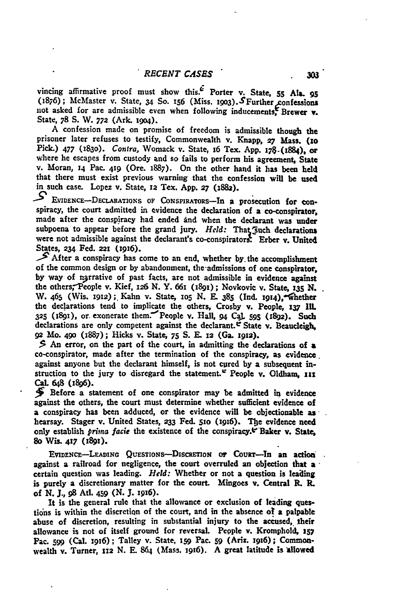vincing affirmative proof must show this. $\vec{E}$  Porter v. State, 55 Ala. 95 (i8;6); McMaster v. State, **34** So. **156** (Miss. i9o3).SFurther onfessions not asked for are admissible even when following inducements Brewer **v.** State, **78 S.** W. **772** (Ark. **i9o4).**

A confession made on promise of freedom is admissible though the prisoner later refuses to testify, Commonwealth v. Knapp, 27 Mass. (10 Pick.) **477 (1830).** Contra, Womack v. State, **i6** Tex. **App. i78-(t884),** or where he escapes from custody and so fails to perform his agreement, State v. Moran, **14** Pac. 419 (Ore. 1887). On the other hand it has been **held** that there must exist previous warning that the confession will be used in such case. Lopez v. State, **12** Tex. **App. 27** (1882).

**-9 EVIDEMcE-DECLARATIONS OF CONSPIRATORS-In** a prosecution for conspiracy, the court admitted in evidence the declaration of a co-conspirator, made after the conspiracy had ended ind when the declarant was under subpoena to appear before the grand jury. *Held*: That Such declarations were not admissible against the declarant's co-conspirators. Erber v. United States, **234 Fed. 221** (1916).

**\_'** After a conspiracy has come to an end, whether **by.** the accomplishment of the common design or **by** abandonment, the-admissions of one conspirator, by way of ngrrative of past facts, are not admissible in evidence against the others,-People v. Kief, **x26 N.** Y. 661 (i89i); Novkovic v. State, *x35* **N.** W. 465 (Wis. **1912) ;.** Kahn v. State, **io5 N. E. 385 (Ind.** I914),"1hether the declarations tend to implicate the others, Crosby v. People, **z37** IlL **<sup>325</sup>(1891),** or exonerate them.'People v. Hall, **94** Ca. **595 (i8g2).** Such declarations are only competent against the declarant.  $\mathfrak{C}$  State v. Beaucleigh, **92** Mo. **490 (1887);** Hicks v. State, **75 S. E. 12** (Ga. **19m2).**

**\$** An error, on the part of the court, in admitting the declarations of a co-conspirator, made after the termination of the conspiracy, as evidence. against anyone but the declarant himself, is not cured by a subsequent instruction to the jury to disregard the statement.' People v. Oldham, **in** CaL 648 (1896).

**5** Before a statement of one conspirator may be admitted in evidence against the others, the court must determine whether sufficient evidence of a conspiracy has been adduced, or the evidence will be objectionable as hearsay. Stager v. United States, **233** Fed. sio (x16). **Tbe** evidence need only establish *prima* facie the existence of the conspiracy.t"Baker **v.** State, **8o** Wis- **417 (1891).**

EVIDENCE-LEADING QUESTIONS-DISCRETION OF COURT-In an action against a railroad for negligence, the court overruled an objection that a certain question was leading. *Held:* Whether or not a question is leading is purely a discretionary matter for the court. Mingoes v. Central R. **R.** of **N.** *J.,* **98 At.** 459 **(N. J. 1916).**

It is the general rule that the allowance or exclusion **of** leading questions is within the discretion of the court, and in the absence of a palpable abuse of discretion, resulting in substantial injury to the accused, their allowance is not of itself ground for reversal. People v. Kromphold, **357** Pac. **599** (Cal. **1916);** Talley v. State, **159** Pac. **59** (Ariz. i9t6); Commonwealth v. Turner, 112 N. E. 864 (Mass. 1916). A great latitude is allowed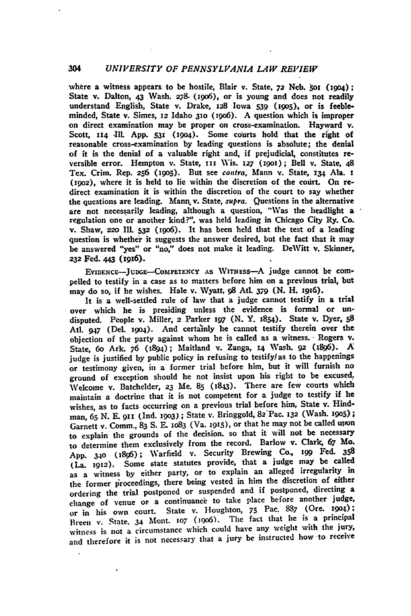# 304 *UNIVERSITY OF PENNSYLVANIA LAW REVIEW*

where a witness appears to be hostile, Blair v. State, 72 Neb. 501 (1904); State v. Dalton, 43 Wash. **278.** (izo6), or is young and does not readily understand English, State v. Drake, **z28** Iowa **539 (i905),** or is feebleminded, State v. Simes, **12** Idaho **310** (t96). A question which is improper on direct examination may be proper on cross-examination. Hayward v. Scott, **114** -Ill. **App. 53i** (igo4). Some courts hold that the right of reasonable cross-examination **by** leading questions is absolute; the denial of it is the denial of a valuable right and, if prejudicial, constitutes reversible error. Hempton v. State, **iii** Wis. *x27* **(19o);** Bell v. State, 48 Tex. Crim. Rep. **256 (19o5).** But see contra, Mann v. State, **134** Ala. **i (i9o2),** where it is held to lie within the discretion of the court. On redirect examination it is within the discretion of the court to say whether the questions are leading. **Mann.** v. State, supra. Questions in the alternative are not necessarily leading, although a question, "Was the headlight a regulation one or another kind?", was held leading in Chicago City Ry. Co. v. Shaw, **=2o IlL 532** (i9o6). It has been held that the test of a leading question is whether it suggests the answer desired, but the fact that it may be answered "yes" or "no," does not make it leading. DeWitt v. Skinner, **232** Fed. **443 (z9x6).**

**EVIDENCE-JUDGE--COMPETENCY AS WITNESs-A** judge cannot be compelled to testify in a case as to matters before him on a previous trial, but may do so, if he wishes. Hale v. Wyatt, **98** At. **379 (N.** H. 1916).

It is a well-settled rule of law that a judge cannot testify in a trial over which he is presiding unless the evidence is formal or undisputed. People v. Miller, **2** Parker **197 (N.** Y. 1854). State v. Dyer, **<sup>58</sup>** At. 947 (Del. **1904).** And certainly he cannot testify therein over the objection of the party against whom he is called as a witness. Rogers v. State, 6o Ark. **76** (1894); Maitland v. Zanga, **14** Wash. **92** (i896). **A** judge is justified **by** public policy in refusing to testifylas to the happenings or testimony given, in a former trial before him, but it will furnish no ground of exception should he not insist upon his right to be excused. Welcome v. Batchelder, **23** Me. **85** (1843). There are few courts which maintain a doctrine that it is not competent for a judge to testify if he wishes, as to facts occurring on a previous trial before him, State v. Hindman, **65 N.** E. **911 (Ind. i9o3) ;** State v. Bringgold, **82Pac.** 132 (Wash. **1905) ;** Garnett v. Comm., 83 S. E. 1083 (Va. 1915), or that he may not be called unon to explain the grounds of the decision, so that it will not be necessary to determine them exclusively from the record. Barlow v. Clark, **67** Mo. **App. 34o (1896);** Warfield v. Security Brewing Co., **ig** Fed. **<sup>358</sup>** (La. **1912).** Some state statutes provide, that a judge may be called as a witness **by** either party, or to explain an alleged irregularity in the former proceedings, there being vested in him the discretion of either ordering the trial postponed or suspended and if postponed, directing a change of venue or a continuance to take place before another judge, or in his own court. State v. Houghton, 75 Pac. 887 (Ore. 1904): or in his own court. State v. Houghton, 75 Pac. 887 (Ore. 1904) Breen v. State. **34** Mont. **107** (19o6). The fact that he is a principal witness is **not** a circumstance which could have any weight with the jury, and therefore it is **not** necessary that a jury be instructed how to receive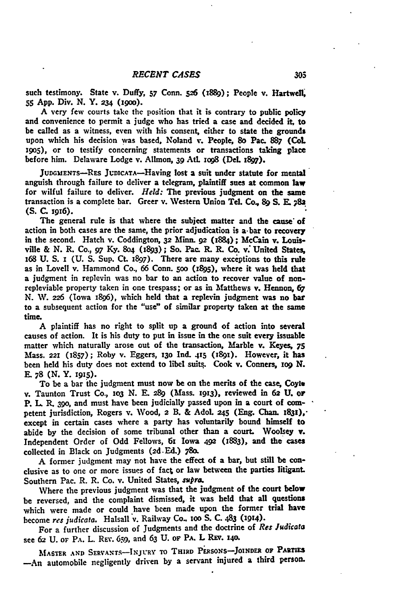such testimony. State v. Duffy, 57 Conn. 526 (1889); People v. Hartwell, **55 App.** Div. **N.** Y. **234** (i9o).

**A** very few courts take the position that **it** is contrary to public policy and convenience to permit a judge who has tried a case and decided **it,** to be called as a witness, even with his consent, either to state the grounds upon which his decision was based, Noland v. People, 8o Pac. **887** (CoL i9O5), or to testify concerning statements or transactions taking place before him. Delaware Lodge v. Allmon, **39 AM** xog8 (DeL **i897).**

JUDGMENTS-RES JUDICATA-Having lost a suit under statute for mental anguish through failure to deliver a telegram, plaintiff sues at common law for wilful failure to deliver. *Held:* The previous judgment on the same transaction is a complete bar. Greer v. **Western** Union Tel. Co., **89 S. E. ;8 (S. C.** 1916).

The general rule is that where the subject matter and the cause of action in both cases are the same, the prior adjudication is a-bar to recovery in the second. Hatch v. Coddington, **32** Minn. **92 (z884);** McCain v. Louis**ville & N.** R. Co., **97** Ky. **8o4** 0893); So. Pac. R. **R.** Co. **v:** United **States, x68 U. S. x (U. S.** Sup. **Ct. I897).** There are many exceptions to this rule as in Lovell v. Hammond Co., **66** Conn. **0oo (i895),** where it was held that a judgment in replevin was no bar to an action to recover value of nonrepleviable property taken in one trespass; or as in Matthews v. Hennon, **67 N. W. 226** (Iowa 1896), which held that a replevin judgment was no bar to a subsequent action for the "use" of similar property taken at the same time.

**A** plaintiff has no right to split up a ground of action into several causes of action. It is his duty to put in issue in the one suit every issuable matter which naturally arose out of the transaction, Marble v. **Keyes, 75** Mass. **221** (1857); Roby v. Eggers, **130 Ind. 415** (i9i). However, it has been held his duty does not extend to libel suits. Cook v. Conners, **xo9 N. - 78 (N. Y. 1915).**

To be a bar **the** judgment must now be on the merits of the case, Coyie v. Taunton Trust Co., **1o3 N. E.** 289 (Mass. **1913), reviewed** in **62 U.** or P. L R. 39o, and must have been judicially passed upon in a court of **corn**petent jurisdiction, Rogers v. Wood, **2** B. **&** Adol. **45** (Eng. Chan. 1831)," except in certain cases where a party has voluntarily bound himself to abide **by** the decision of some tribunal other **than** a court. Woolsey v. Independent Order of **Odd** Fellows, 61 Iowa 492 **(1883),** and the cases collected in Black on Judgments **(2d.Ed.) 780.**

**A** former judgment may not have the effect of a bar, but still be conclusive as to one or more issues of fact or law between the parties litigant. Southern Pac. R. R. Co. v. United States, supra.

Where the previous judgment was that the judgment of the court below be reversed, and the complaint dismissed, it was held that all questions which were made or could have been made upon the former trial have become *res judicata.* Halsall v. Railway Co. **oo S. C.** 483 (1914).

For a further discussion of Judgments and the doctrine of *Res Judicata* see **62 U. or PA.** L. REV. **6;9,** and **63 U. OF PA.** L REv. **i4o.**

**MASTER AND SERVANTS-INJURY TO THIRD PERSONS-JoINDER OF PARTIES** -An automobile negligently driven **by** a servant injured a third person.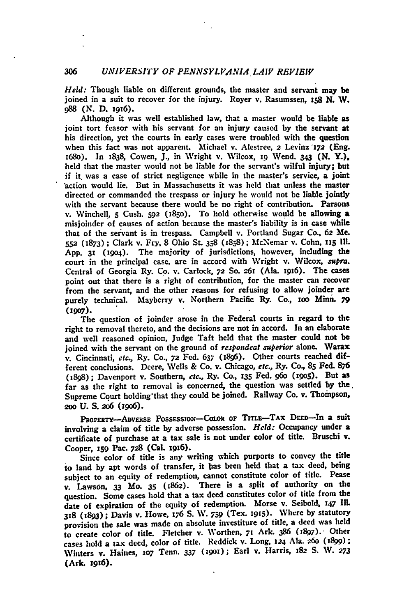*Held:* Though liable on different grounds, the master and servant may be joined in a suit to recover for the injury. Royer v. Rasumssen, 158 **N.** W. **988 (N.** D. x9x6).

Although it was well established law, that a master would be liable as joint tort feasor with his servant for an injury caused **by** the servant at his direction, yet the courts in early cases were troubled with the question when this fact was not apparent. Michael v. Alestree, 2 Levinz *172* (Eng. i68o). In 1838, Cowen, **J,** in Wright v. Wilcox, **i9** Wend. **343 (N.** Y.), held that the master would not be liable for the servant's wilful injury; but if it was a case of strict negligence while in the master's service, a joint action would lie. But in Massachusetts it was **held** that unless the master directed or commanded the trespass or injury he would not be liable jointly with the servant because there would be no right of contribution. Parsons v. Winchell, **5** Cush. **592** (i85o). To hold otherwise would be allowing a misjoinder of causes of action because the master's liability is in case while that of the servant is in trespass. Campbell v. Portland Sugar Co.. **62** Me. **552** (1873) **;** Clark v. Fry, 8 Ohio **SL 358** (1858); McNemar v. Cohn. n15 **I1.** App. 31 (i9o4). The majority of jurisdictions, however, including the court in the principal case, are in accord with Wright v. Wilcox, *supra.* Central of Georgia Ry. Co. v. Carlock, **72 So.** 261 (Ala. 1916). The cases point out that there is a right of contribution, for the master can recover from the servant, and the other reasons for refusing to allow joinder are purely technical. Mayberry v. Northern Pacific Ry. Co., xoo **Mini.** *79* **(1907).**

The question of joinder arose in the Federal courts in regard to the right to removal thereto, and the decisions are not in accord. In an elaborate and well reasoned opinion, Judge Taft held that the master could not be joined with the servant on the ground of *respondeat superior* alone. Warax v. Cincinnati, *etc.,* Ry. Co., **72** Fed. **637** (896). Other courts reached different conclusions. Deere, Wells **&** Co. v. Chicago, *etc.,* Ry. Co, **85 Fed. 876** (1898); Davenport v. Southern, *etc.,* Ry. **Co., 135** Fed. *96o* (i9o5). But as far as the right to removal is concerned, the question was settled **by** the. Supreme Court holding that they could be joined. Railway Co. v. Thompson, 200 U. S. 206 (1906).

PROPERTY-ADVERSE POSSESSION-COLOR OF TITLE-TAX DEED-In a suit involving a claim of title **by** adverse possession. *Held:* Occupancy under a certificate of purchase at a tax sale is not under color of title. Bruschi v. Cooper, **s5g** Pac. *728* (Cal. **1916).**

Since color of title is any writing which purports to convey the title to land **by** apt words of transfer, it bas been held that a tax deed, being subject to an equity of redemption, cannot constitute color of title. Pease v. Lawson, **33** Mo. **35 (1862).** There is a split of authority on the question. Some cases hold that a tax deed constitutes color of title from the date of expiration of the equity of redemption. Morse v. Seibold, 147 Ill. **318** (1893); Davis v. Howe, 176 S. **W. 759** (Tex. 1915). Where **by** statutory provision the sale was made on absolute investiture of title, a deed was held to create color of title. Fletcher v. Worthen, 71 Ark. 386 (1897). Other cases hold a tax deed, color of title. Reddick v. Long, 124 Ala. 260 (1899); Winters v. Haines, **1o7** Tenn. **337** (igox); Earl v. Harris, 182 **S. W.** *<sup>273</sup>* (Ark. 19i6).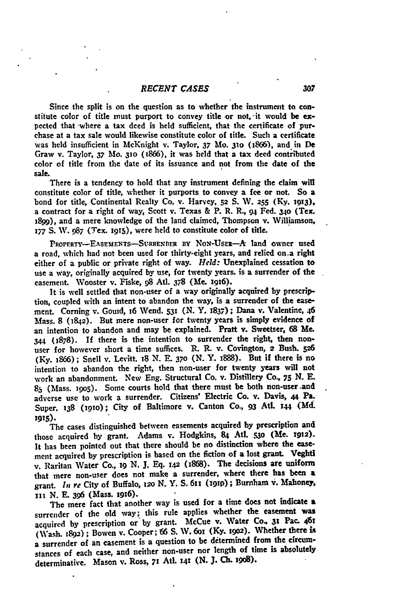Since the split is on the question as to whether the instrument to constitute color of title must purport to convey title or not, **-it** would **be** expected that where a tax deed is held sufficient, that the certificate of purchase at a tax sale would likewise constitute color of title. Such a certificate was **held** insufficient in McKnight v. Taylor, **37 Mo. 310** (1866), and in **De** Graw v. Taylor, **37** Mo. *31o* (1866), it was held that a tax deed contributed color of title from the date of its issuance and not from the date of the sale.

There is a tendency to hold that any instrument defining the claim will constitute color of title, whether it purports to convey a fee or not. **So** a bond for title, Continental Realty Co. v. Harvey, **52 S.** W. **255 (Ky. 1913),** a contract for a right of way, Scott v. Texas **&** P. R. R., **94** Fed. **34o (Tx.** 1899), and a mere knowledge of the land claimed, Thompson v. Williamson, *177 S.* W. **987** (Tex. 1915), were held to constitute color of title.

PROPERTY-EASEMENTS-SURRENDER BY NON-USER-A land owner used a road, which had not been used for thirty-eight years, and relied on.a right either of a public or private right of way. *Held:* Unexplained cessation to use a way, originally acquired **by** use, for twenty years, is a surrender of the easement. Wooster v. Fiske, **98** Adt. **378** (Me. **1916).**

It is well settled that non-user of a way originally acquired **by** prescription, coupled with an intent to abandon the way, is a surrender of the easement. Coming v. Goud, 16 Wend. **531 (N.** Y. **1837);** Dana v. Valentine, 46 Mass. **8 (1842).** But mere non-user for twenty years is simply evidence of an intention to abandon and may be explained. Pratt v. Sweetser, **68** Me. **344 (1878).** If there is the intention to surrender the right, then nonuser for however short a time suffices. R. **R.** v. Covington, *2* Bush. **526 (Ky. 1866) ;** Snell v. Levitt. **i8 N. E.** *370* **(N.** Y. 1888). But if there is no intention to abandon the right, then non-user for twenty years will not work an abandonment. New Eng. Structural Co. v. Distillery Co., **75 N. E. 85** (Mass. 9o5). Some courts hold that there must be both non-user .and adverse use to work a surrender. Citizens' Electric Co. v. Davis, 44 Pa. Super. **138** (i9io); City of Baltimore v. Canton Co., **93** Atl. **144 (Md 1915).**

The cases distinguished between easements acquired **by** prescription and those acquired **by** grant. Adams v. Hodgkins, **84** Atl. *53o* (Me. **1912).** It has been pointed out that there should be no distinction where the easement acquired **by** prescription is based on the fiction of a lost grant. Veghtl v. Raritan Water Co., ig **N. J. Eq. z42** (868). The decisions are uniform that mere non-user does not make a surrender, where there has been a grant. *In re* City of Buffalo, **i2o N.** Y. **S.** 611 **(191p) ;** Burnham i. Mahoney, **iii N. E. 396** (Mass. ig96).

The mere fact that another way is used for a time does not indicate a surrender of the old way; this rule applies whether the easement was acquired **by** prescription or **by** grant. McCue v. Water Co., **3z** Pac. **<sup>461</sup>** (Wash. **89) ;** Bowen v. Cooper; **156 S. W. 601 (Ky. 1902).** Whether there **is** a surrender **of** an easement is a question to be determined from the circumstances of each case, and neither non-user nor length of time is absolutely determinative. Mason **v.** Ross, **71** AtI. **141 (N. J. Ch. 19o).**

.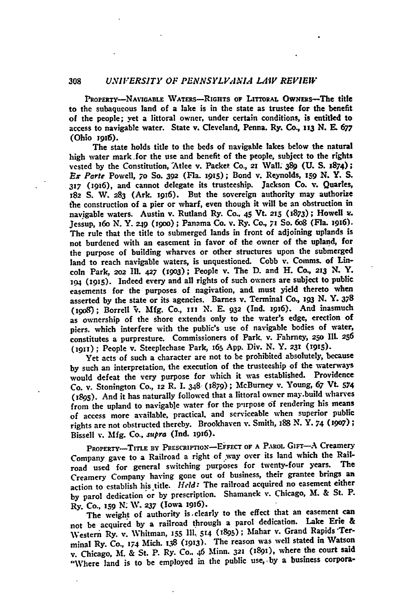# **308** *UNIVERSITY OF PENNSYLVANIA LAIV REVIEW*

PROPERTY--NAVIGABLE WATERS-RIGHTS OF LITTORAL OWNERS-The title to the subaqueous land of a lake is in the state as trustee for the benefit **of** the people; yet a littoral owner, under certain conditions, is entitled to access to navigable water. State v. Cleveland, Penna. Ry. Co., **113 N. E. <sup>677</sup>** (Ohio **1916).**

The state holds title to the beds of navigable lakes below the natural high water mark for the use and benefit of the people, subject to the rights vested **by** the Constitution, "Atlee v. Packet **Co.,** 21 Wall. 389 **(U. S.** 1874); **Ex** *Parle* Powell, **70 So.** *392* (Fla. **1915);** Bond v. Reynolds, **159 N.** Y. **S. 317** *(ig6),* and cannot delegate its trusteeship. Jackson Co. **Y.** Quarles, **x82 S.** W. **283** (Ark. i916). But the sovereign authority may authorize t'he construction of a pier or wharf, even though it will be an obstruction in navigable waters. Austin v. Rutland Ry. **Co., 45** Vt. **215** (i873); Howell v. Jessup, i6o **N.** Y. **249** (igoo); Panama Co. v. Ry. Co, **71** So. 6o8 (Fla. i9i6). The rule that the title to submerged lands in front of adjoining uplands is not burdened with an easement in favor of the owner of the upland, for the purpose of building wharves or other structures upon the submerged land to reach navigable waters, is unquestioned. Cobb v. Comms. of Lincoln Park, **2o2 II. 427 (x9o3);** People v. The **D.** and H. **Co., 213 N. Y. 194 (1915).** Indeed every and all rights of such owners are subject to public easements for the purposes of nagivation, and must yield thereto when asserted **by** the state or its agencies. Barnes v. Terminal Co., 193 **N.** Y. **378** (i9o8); Borrell **'. Mfg.** Co., **In N. E. 932 (Ind.** 1916). And inasmuch as ownership of the shore extends only to the water's edge, erection of piers. which interfere with the public's use of navigable bodies of water, constitutes a purpresture. Commissioners of Park v. Fahrney, **25o** Il. **<sup>256</sup>** (1911); People v. Steeplechase Park, 165 App. Div. N. Y. 231 (1915).

Yet acts of such a character are not to be prohibited absolutely, because **by** such an interpretation, the execution of the trusteeship of the waterways would defeat the very purpose for which it was established. Providence Co. v. Stonington Co., **12** R. **I.** 348 (1879); McBurney v. Young, **67** Vt. 574 **(1895).** And it has naturally followed that a littoral owner may.build wharves from the upland to navigable water for the purpose of rendering his means of access more available, practical, and serviceable when superior public rights are not obstructed thereby. Brookhaven v. Smith, 188 **N.** Y. 74 **(1907);** Bissell **v. Mfg. Co.,** *supra* (Ind. i916).

PROPERTY-TITLE BY PRESCRIPTION-EFFECT OF A PAROL GIFT-A Creamery Company gave to a Railroad a right of way over its land which the Railroad used for general switching purposes for twenty-four years. Creamery Company having gone out of business, their grantee brings an action to establish his title. **Held:** The railroad acquired no easement either **by** parol dedication **or by** prescription. Shamanek v. Chicago, M. **&** St. P. Ry. **Co., 159 N** W. *237* (Iowa 19i6).

The weight of authority is. clearly to the effect that an easement can not be acquired **by** a railroad through a parol dedication. Lake Erie & **Western** Ry. **v. Whitman, 155 I111 514** *(x895);* Mahar **v.** Grand Rapids Terminal Ry. Co., **174** Mich. **138 (i913).** The reason was well stated in Watson **v.** Chicago, M. **&** St. P. Ry. Co.. 46 Minn. **321** (1891), where the court said "Where land is to be employed in the public use, by a business corpora-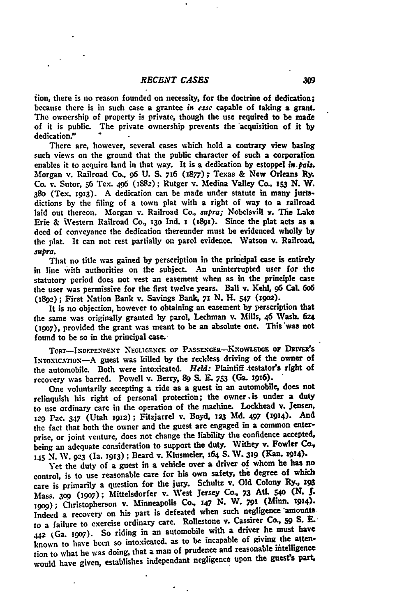flon, there is no reason founded on necessity, for the doctrine of dedication; because there is in such case a grantee *in* esse capable of taking a grant. The ownership of property is private, though the use required to be made of it is public. The private ownership prevents the 'acquisition of it **by** dedication."

There are, however, several cases which hold a contrary view basing such views on the ground that the public character of such a corporation enables it to acquire land in that way. It is a dedication **by** estoppel *is.pais.* Morgan v. Railroad Co., **96 U. S.** 716 **(1877);** Texas **&** New Orleans Ry. Co. **v.** Sutor, **56** Tex. 496 (1882); Rutger v. Medina Valley Co., **153 N.** W. **38o** (Tex. **1913). A** dedication can be made under statute in many jurisdictions **by** the filing of a town plat with a right of way to a railroad laid out thereon. Morgan v. Railroad Co., *supra;* Nobelsvill v. The Lake Erie **&** Western Railroad Co., **13o** Ind. **i** (189!). Since the **plat** acts as a **deed** of conveyance the dedication thereunder must be evidenced wholly **by** the plat. It can not rest partially on parol evidence. Watson v. Railroad, *supra.*

That no title was gained **by** perscription in the principal case is entirely in line with authorities on the subject. An uninterrupted user for the statutory period does not vest an easement when as in the principle case the user was permissive for the first twelve years. Ball v. Kehl, **96 Cal. 6o6** (1892); First Nation Bank v. Savings Bank, **71 N.** H. 547 **(1902).**

It is no objection, however to obtaining an easement **by** perscription that the same was originally granted **by** parol, Lechman v. Mills, 46 Wash. 624 *(1907),* provided the grant was meant to be an absolute one. This was not found to be so in the principal case.

**TORT-INDEPENDENT NEGLIGENCE OF PASSENGER-KNOWLEDGE OF DRIVER'S** INTOXICATION-A guest was killed by the reckless driving of the owner of the automobile. Both were intoxicated. *Held:* Plaintiff .testator's right of recovery was barred. Powell v. Berry, 89 **S. E. 753** (Ga. **1916).**

One voluntarily accepting a ride as a guest in an automobile, **does** not relinquish his right of personal protection; the owner .is under a duty to use ordinary care in the operation of the machine. Lockhead v. Jensen, **129g** Pac. 347 (Utah **1912);** Fitzjarrel **v.** Boyd, **123 Md. 497** (1914). And the fact that both the owner and the guest are engaged in a common enterprise, or joint venture, does not change the liability the confidence accepted, being an adequate consideration to support the duty. Withey **v.** Fowler **Co., 145 N. W. 923** (Ia. **1913);** Beard v. Klusmeier, 164 **S. V. 319 (Kan. i914).**

Yet the duty of a guest in a vehicle over a driver of whom he has no control, is to use reasonable care for his own safety, the degree of which care is primarily a question for the jury. Schultz v. **Old** Colony Ry., **<sup>193</sup>** Mass. **309 (19o7);** Mittelsdorfer v. West Jersey **Co., 73 Atl. 540 (N. J. 199);** Christopherson v. Minneapolis **Co., 147 N.** W. **791 (Minn. 1914).** Indeed a recovery on his part is defeated when such negligence amounts. to a failure to exercise ordinary care. Rollestone v. Cassirer Co., **59 S. E.- <sup>442</sup>**(Ga. **1907).** So riding in an automobile with a driver he must have known to have been so intoxicated, as to be incapable of giving the attention to what he was doing, that a man of prudence and reasonable intelligence would have given, establishes independant negligence upon the **guest's part,**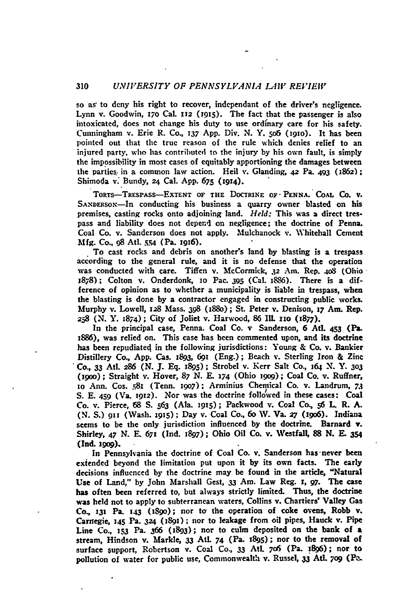### **310** *UNIVERSITY OF PENNSYLVANIA LAI1"'RE VIEWiI*

so as to deny his right to recover, independant of the driver's negligence. Lynn v. Goodwin, *17o* Cal. **112 (igis).** The fact that the passenger is also intoxicated, does not change his duty to use ordinary care for his safety. Cunningham v. Erie R. Co., **137 App.** Div. N. Y. **5o6 (1910).** It has been pointed out that the true reason of the rule which denies relief to an injured party, who has contributed to the injury **by** his own fault, is simply the impossibility in most cases of equitably apportioning the damages between the parties. in a common law action. Heil v. Glanding, **42** Pa. 493 (1862); Shimoda v. Bundy, *24* Cal. App. **675** (1914).

**ToRTS-TRESPASS-EXTENT OF THE DOCTRINE OF- PENNA. COAL CO.** V. SANDERSON-In conducting his business a quarry owner blasted on his premises, casting rocks onto adjoining land. *Held:* This was a direct trespass and liability does not depend on negligence; the doctrine of Penna. Coal Co. v. Sanderson does not apply. Mulchanock v. Whitehall Cement **Mfg.** Co.. **98 Atl. sm** (Pa. **igi6).**

To cast rocks and debris on another's land **by** blasting is a trespass according to the general rule, and it is no defense that the operation was conducted with care. Tiffen v. McCormick, **.32** Am. Rep. 4o8 (Ohio-**1878);** Colton v. Onderdonk, **io** Pac. **395** (Cal. IS86). There is a difference of opinion as to whether a municipality is liable in trespass, when the blasting is done **by** a contractor engaged in constructing public works. Murphy v. Lowell, **128** Mass. **398** (x88o); St. Peter v. Denison, **17** Am. Rep. **258 (N.** Y. **874);** City of Joliet v. Harwood, **86 IllII.** io **(x877).**

In the principal case, Penna. Coal Co. v Sanderson, **6** Ati. 453 (Pa. 1886), was relied on. This case has been commented upon, and its doctrine has been repudiated in the following jurisdictions: Young **&** Co. v. Bankier Distillery Co., **App.** Cas. 1893, *69i* (Eng.); Beach **v.** Sterling Iron **&** Zinc **Co.,** *33* Atl. **286 (N. J. Eq. j895);** Strobel v. Kerr Salt Co., **164** *N.* **Y. 303** (igoo); Straight v. Hover, **87 N. E. 174** (Ohio igog); Coal Co. v. Ruffner, io Ann. Cos. **.81** (Tenn. **'9o7);** Arminius Chemical Co. v. Landrum, *73* **S. E.** 459 (Va. **1912).** Nor was the doctrine followed in these cases: Coal Co. v. Pierce, **68 S. 563** (Ala. **1915);** Packwood v. Coal Co., \$6 **L.** R. **A. (N. S.) 91!** (Wash. **19t5) ;** Day v. Coal Co., 6o IV. Va. *27* (t9o6). Indiana seems to be the only jurisdiction influenced **by** the doctrine. Barnard **v.** Shirley, 47 **N.** E. **671** (Ind. **1897);** Ohio Oil Co. v. UVestfall, **88 N. E. 354** (Ind. **1909).**

In Pennsylvania the doctrine of Coal Co. v. Sanderson has never been exiended beyond the limitation put upon it **by** its own facts. The early decisions influenced **by** the doctrine may be found in the article, "Natural Use of Land," **by** John Marshall Gest, **33** Am. Law Reg. **r,** *97.* **The** case has often been referred to, but always strictly limited. Thus, the doctrine was held not to apply to subterranean waters, Collins v. Chartiers' Valley Gas **Co, 131** Pa. **143** (iS9o); nor tor the operation of coke ovens, Robb v. Carnegie, **145** Pa. **324 (1891);** nor to leakage from oil pipes, Hauck v. Pipe Line Co., **53** Pa. **366 (1893);** nor to culm deposited on the bank of a stream, Hindson v. Markle, **33 AtL.** 74 (Pa. **i895);** nor to the removal of surface support, Robertson v. Coal **Co., 33** AtL **706** (Pa. **1896);** nor to pollution of water for public use, Commonwealth v. Russel, **33 AtL. 7o9** (Pa.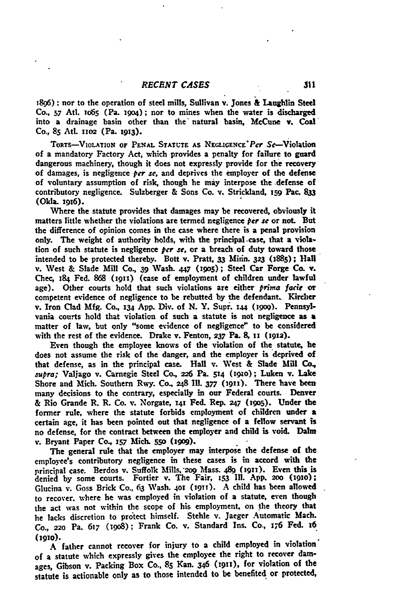**1896);** nor to the operation of steel mills, Sullivan v. Jones & Laughlin **Steel Co., 57** Atl. io65 (Pa. xgo4); nor to mines when the water is discharged into a drainage basin other than the natural basin, McCune v. Coal Co., 85 Atl. 1102 (Pa. 1913).

TORTS-VIOLATION OF PENAL STATUTE AS NEGLIGENCE Per Se-Violation of a mandatory Factory Act, which provides a penalty for failure to guard dangerous machinery, though it does not expressly provide for the recovery of damages, is negligence *per se,* and deprives the employer of the defense of voluntary assumption of risk, though he may interpose the defense of contributory negligence. Sulzberger **&** Sons Co. v. Strickland, **i59** Pac. **833** (Okla. 1916).

Where the statute provides that damages may be recovered, obviously it matters little whether the violations are termed negligence *per se* or not. But the difference of opinion comes in the case where there is a penal provision only. The weight of authority holds, with the principal-case, that a violation of such statute is negligence *per se,* or a breach of duty toward those intended to be protected thereby. Bott v. Pratt, 33 Minn. 323 (1885); Hall v. West **&** Slade Mill Co., **39** Wash. **447 (i9o\$);** Steel Car Forge **Co. Y.** Chec, **184** Fed. **868** (19i) (case of employment of children under lawful age). Other courts hold that such violations are either *prima fade* **or** competent evidence of negligence to be rebutted **by** the defendant. Kircher v. Iron Clad **Mfg.** Co, 134 **App.** Div. of **N.** Y. Supr. **x44** (igo9). Pennsylvania courts hold that violation of such a statute is not negligence as a matter of law, but only "some evidence of negligence" to be considered with the rest of the evidence. Drake v. Fenton, **237** Pa. **8,** 1 (igia).

Even though the employee knows of the violation of the statute, be does not assume the risk of the danger, and the employer is deprived of that defense, as in the principal case. Hall **v.** West **&** Slade Mill **Co.,** *supra;* Valjago v. Carnegie Steel Co., **226** Pa. 514 (910); Luken v. Lake Shore and Mich. Southern Rwy. Co., 248 Ill. 377 (1911). There have been many decisions to the contrary, especially in our Federal courts. Denver **&** Rio Grande R. R. Co. v. Norgate, *141* **Fed.** Rep. 247 **(19Go).** Under the former rule, where the statute forbids employment of children under a certain age, it has been pointed out that negligence of a fellow servant is no defense, for the contract between the employer and child is void. Dalm **v.** Bryant Paper **Co., 157 Mich. 550 (199o).**

The general rule that the employer may interpose the defense of the employee's contributory negligence in these cases is in accord with the principal case. Berdos v. Suffolk Mills. 209 Mass. 489 (1911). Even this is denied by some courts. Fortier v. The Fair, 153 Ill. App. 200 (1910); Glucina v. Goss Brick Co., **63** Wash. 401 (i9iT). **A** child has been allowed to recover, where he was employed in violation of a statute, even though the act was not within the scope of his employment, on **the** theory that he lacks discretion to protect himself. Stehle v. Jaeger Automatic Mach. **Co.,** 220 Pa. **617** (igo8); Frank Co. v. Standard Ins. Co., *176* Fed. **16 (1910).**

**A** father cannot recover for injury to a child employed in violation' of a statute which expressly gives the employee the right to recover **dam**ages, Gibson v. Packing Box **Co., 85** Kan. 346 (1911), for violation of the statute is actionable only as to those intended to be benefited or protected,